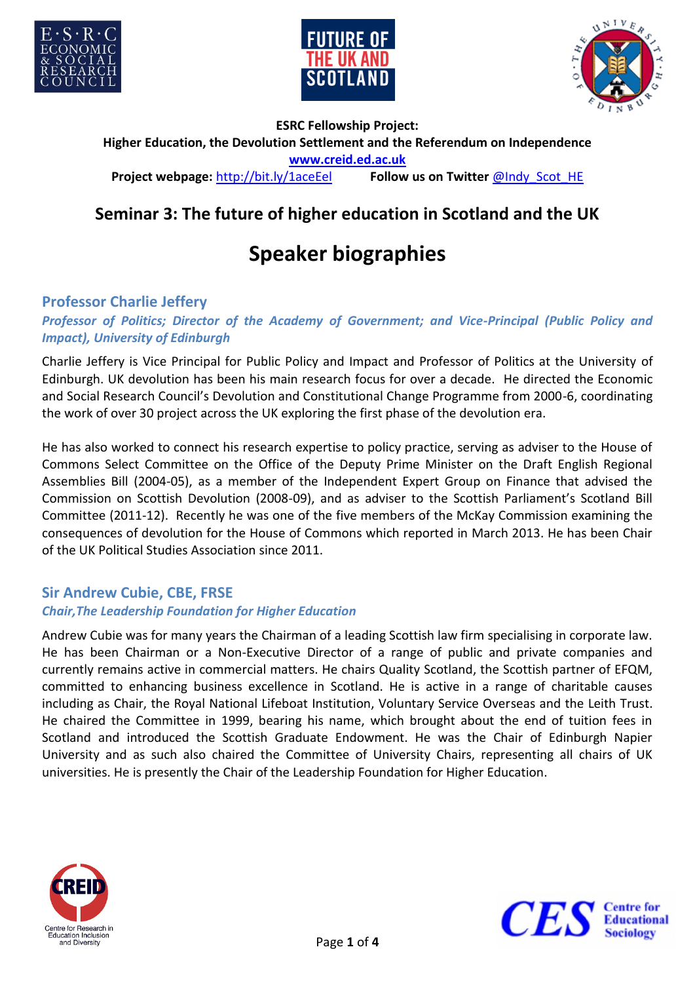





**ESRC Fellowship Project: Higher Education, the Devolution Settlement and the Referendum on Independence <www.creid.ed.ac.uk> Project webpage:** <http://bit.ly/1aceEel>**Follow us on Twitter @Indy Scot HE** 

# **Seminar 3: The future of higher education in Scotland and the UK**

# **Speaker biographies**

# **Professor Charlie Jeffery**

# *Professor of Politics; Director of the Academy of Government; and Vice-Principal (Public Policy and Impact), University of Edinburgh*

Charlie Jeffery is Vice Principal for Public Policy and Impact and Professor of Politics at the University of Edinburgh. UK devolution has been his main research focus for over a decade. He directed the Economic and Social Research Council's Devolution and Constitutional Change Programme from 2000-6, coordinating the work of over 30 project across the UK exploring the first phase of the devolution era.

He has also worked to connect his research expertise to policy practice, serving as adviser to the House of Commons Select Committee on the Office of the Deputy Prime Minister on the Draft English Regional Assemblies Bill (2004-05), as a member of the Independent Expert Group on Finance that advised the Commission on Scottish Devolution (2008-09), and as adviser to the Scottish Parliament's Scotland Bill Committee (2011-12). Recently he was one of the five members of the McKay Commission examining the consequences of devolution for the House of Commons which reported in March 2013. He has been Chair of the UK Political Studies Association since 2011.

# **Sir Andrew Cubie, CBE, FRSE**

# *Chair,The Leadership Foundation for Higher Education*

Andrew Cubie was for many years the Chairman of a leading Scottish law firm specialising in corporate law. He has been Chairman or a Non-Executive Director of a range of public and private companies and currently remains active in commercial matters. He chairs Quality Scotland, the Scottish partner of EFQM, committed to enhancing business excellence in Scotland. He is active in a range of charitable causes including as Chair, the Royal National Lifeboat Institution, Voluntary Service Overseas and the Leith Trust. He chaired the Committee in 1999, bearing his name, which brought about the end of tuition fees in Scotland and introduced the Scottish Graduate Endowment. He was the Chair of Edinburgh Napier University and as such also chaired the Committee of University Chairs, representing all chairs of UK universities. He is presently the Chair of the Leadership Foundation for Higher Education.



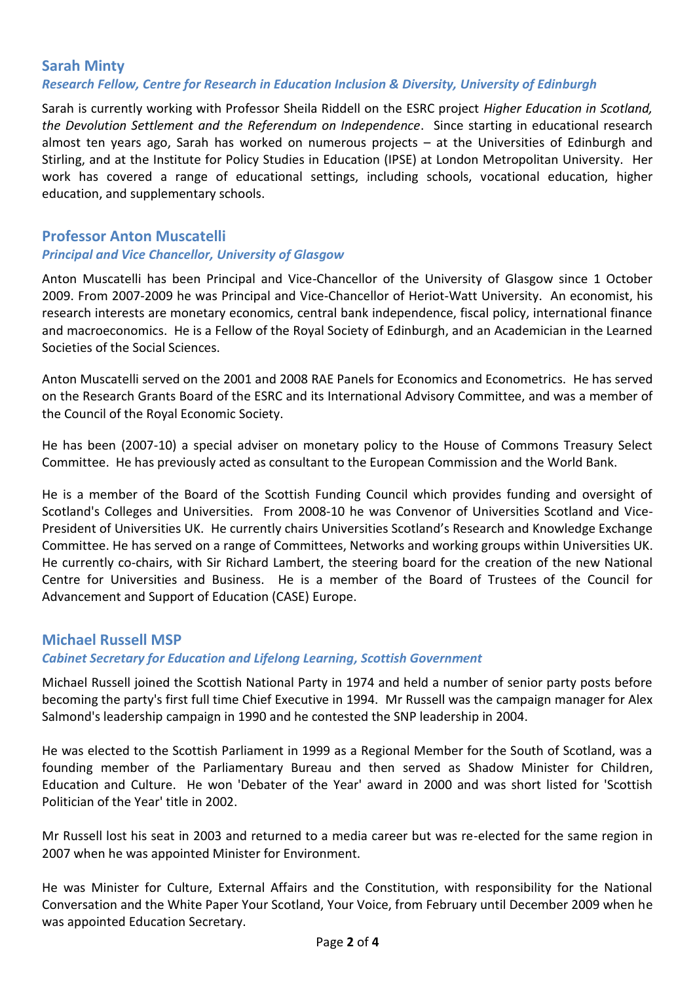#### **Sarah Minty** *Research Fellow, Centre for Research in Education Inclusion & Diversity, University of Edinburgh*

Sarah is currently working with Professor Sheila Riddell on the ESRC project *Higher Education in Scotland, the Devolution Settlement and the Referendum on Independence*. Since starting in educational research almost ten years ago, Sarah has worked on numerous projects – at the Universities of Edinburgh and Stirling, and at the Institute for Policy Studies in Education (IPSE) at London Metropolitan University. Her work has covered a range of educational settings, including schools, vocational education, higher education, and supplementary schools.

#### **Professor Anton Muscatelli** *Principal and Vice Chancellor, University of Glasgow*

Anton Muscatelli has been Principal and Vice-Chancellor of the University of Glasgow since 1 October 2009. From 2007-2009 he was Principal and Vice-Chancellor of Heriot-Watt University. An economist, his research interests are monetary economics, central bank independence, fiscal policy, international finance and macroeconomics. He is a Fellow of the Royal Society of Edinburgh, and an Academician in the Learned Societies of the Social Sciences.

Anton Muscatelli served on the 2001 and 2008 RAE Panels for Economics and Econometrics. He has served on the Research Grants Board of the ESRC and its International Advisory Committee, and was a member of the Council of the Royal Economic Society.

He has been (2007-10) a special adviser on monetary policy to the House of Commons Treasury Select Committee. He has previously acted as consultant to the European Commission and the World Bank.

He is a member of the Board of the Scottish Funding Council which provides funding and oversight of Scotland's Colleges and Universities. From 2008-10 he was Convenor of Universities Scotland and Vice-President of Universities UK. He currently chairs Universities Scotland's Research and Knowledge Exchange Committee. He has served on a range of Committees, Networks and working groups within Universities UK. He currently co-chairs, with Sir Richard Lambert, the steering board for the creation of the new National Centre for Universities and Business. He is a member of the Board of Trustees of the Council for Advancement and Support of Education (CASE) Europe.

# **Michael Russell MSP**

#### *Cabinet Secretary for Education and Lifelong Learning, Scottish Government*

Michael Russell joined the Scottish National Party in 1974 and held a number of senior party posts before becoming the party's first full time Chief Executive in 1994. Mr Russell was the campaign manager for Alex Salmond's leadership campaign in 1990 and he contested the SNP leadership in 2004.

He was elected to the Scottish Parliament in 1999 as a Regional Member for the South of Scotland, was a founding member of the Parliamentary Bureau and then served as Shadow Minister for Children, Education and Culture. He won 'Debater of the Year' award in 2000 and was short listed for 'Scottish Politician of the Year' title in 2002.

Mr Russell lost his seat in 2003 and returned to a media career but was re-elected for the same region in 2007 when he was appointed Minister for Environment.

He was Minister for Culture, External Affairs and the Constitution, with responsibility for the National Conversation and the White Paper Your Scotland, Your Voice, from February until December 2009 when he was appointed Education Secretary.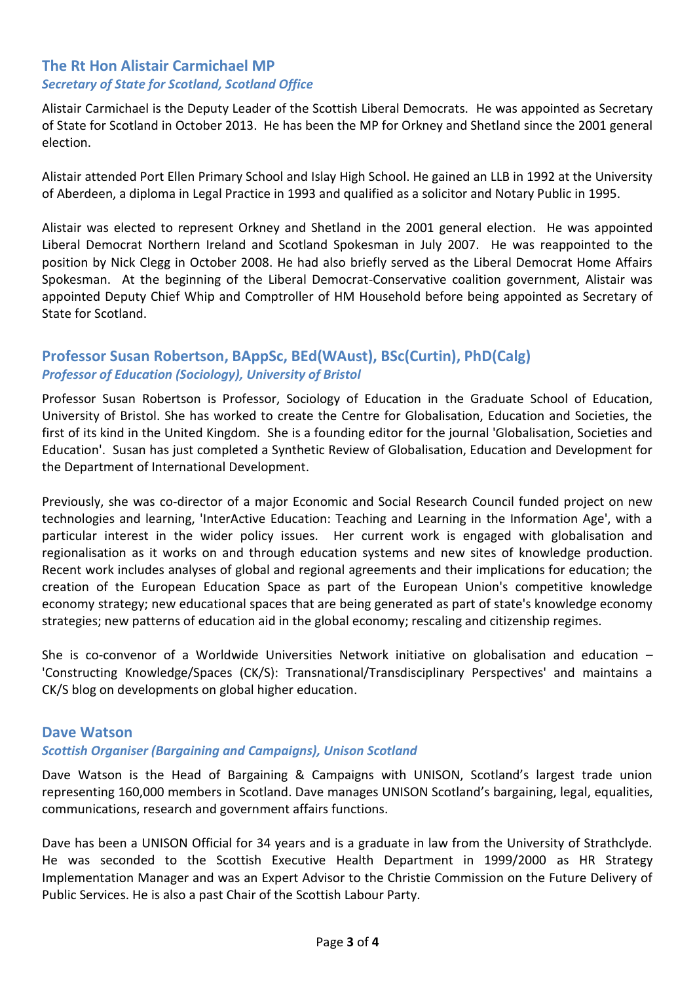# **The Rt Hon Alistair Carmichael MP** *Secretary of State for Scotland, Scotland Office*

Alistair Carmichael is the Deputy Leader of the Scottish Liberal Democrats. He was appointed as Secretary of State for Scotland in October 2013. He has been the MP for Orkney and Shetland since the 2001 general election.

Alistair attended Port Ellen Primary School and Islay High School. He gained an LLB in 1992 at the University of Aberdeen, a diploma in Legal Practice in 1993 and qualified as a solicitor and Notary Public in 1995.

Alistair was elected to represent Orkney and Shetland in the 2001 general election. He was appointed Liberal Democrat Northern Ireland and Scotland Spokesman in July 2007. He was reappointed to the position by Nick Clegg in October 2008. He had also briefly served as the Liberal Democrat Home Affairs Spokesman. At the beginning of the Liberal Democrat-Conservative coalition government, Alistair was appointed Deputy Chief Whip and Comptroller of HM Household before being appointed as Secretary of State for Scotland.

# **Professor Susan Robertson, BAppSc, BEd(WAust), BSc(Curtin), PhD(Calg)** *Professor of Education (Sociology), University of Bristol*

Professor Susan Robertson is Professor, Sociology of Education in the Graduate School of Education, University of Bristol. She has worked to create the Centre for Globalisation, Education and Societies, the first of its kind in the United Kingdom. She is a founding editor for the journal 'Globalisation, Societies and Education'. Susan has just completed a Synthetic Review of Globalisation, Education and Development for the Department of International Development.

Previously, she was co-director of a major Economic and Social Research Council funded project on new technologies and learning, 'InterActive Education: Teaching and Learning in the Information Age', with a particular interest in the wider policy issues. Her current work is engaged with globalisation and regionalisation as it works on and through education systems and new sites of knowledge production. Recent work includes analyses of global and regional agreements and their implications for education; the creation of the European Education Space as part of the European Union's competitive knowledge economy strategy; new educational spaces that are being generated as part of state's knowledge economy strategies; new patterns of education aid in the global economy; rescaling and citizenship regimes.

She is co-convenor of a Worldwide Universities Network initiative on globalisation and education – 'Constructing Knowledge/Spaces (CK/S): Transnational/Transdisciplinary Perspectives' and maintains a CK/S blog on developments on global higher education.

#### **Dave Watson**

#### *Scottish Organiser (Bargaining and Campaigns), Unison Scotland*

Dave Watson is the Head of Bargaining & Campaigns with UNISON, Scotland's largest trade union representing 160,000 members in Scotland. Dave manages UNISON Scotland's bargaining, legal, equalities, communications, research and government affairs functions.

Dave has been a UNISON Official for 34 years and is a graduate in law from the University of Strathclyde. He was seconded to the Scottish Executive Health Department in 1999/2000 as HR Strategy Implementation Manager and was an Expert Advisor to the Christie Commission on the Future Delivery of Public Services. He is also a past Chair of the Scottish Labour Party.